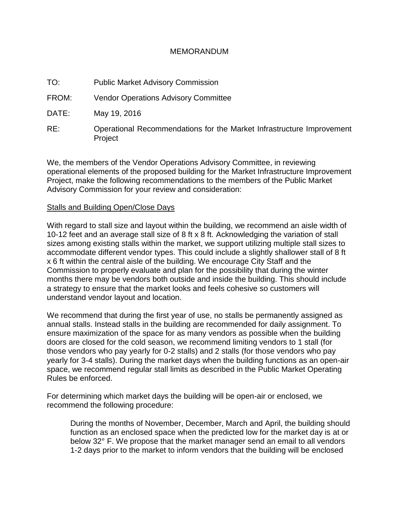### MEMORANDUM

- TO: Public Market Advisory Commission
- FROM: Vendor Operations Advisory Committee
- DATE: May 19, 2016
- RE: Operational Recommendations for the Market Infrastructure Improvement Project

We, the members of the Vendor Operations Advisory Committee, in reviewing operational elements of the proposed building for the Market Infrastructure Improvement Project, make the following recommendations to the members of the Public Market Advisory Commission for your review and consideration:

#### Stalls and Building Open/Close Days

With regard to stall size and layout within the building, we recommend an aisle width of 10-12 feet and an average stall size of 8 ft x 8 ft. Acknowledging the variation of stall sizes among existing stalls within the market, we support utilizing multiple stall sizes to accommodate different vendor types. This could include a slightly shallower stall of 8 ft x 6 ft within the central aisle of the building. We encourage City Staff and the Commission to properly evaluate and plan for the possibility that during the winter months there may be vendors both outside and inside the building. This should include a strategy to ensure that the market looks and feels cohesive so customers will understand vendor layout and location.

We recommend that during the first year of use, no stalls be permanently assigned as annual stalls. Instead stalls in the building are recommended for daily assignment. To ensure maximization of the space for as many vendors as possible when the building doors are closed for the cold season, we recommend limiting vendors to 1 stall (for those vendors who pay yearly for 0-2 stalls) and 2 stalls (for those vendors who pay yearly for 3-4 stalls). During the market days when the building functions as an open-air space, we recommend regular stall limits as described in the Public Market Operating Rules be enforced.

For determining which market days the building will be open-air or enclosed, we recommend the following procedure:

During the months of November, December, March and April, the building should function as an enclosed space when the predicted low for the market day is at or below 32° F. We propose that the market manager send an email to all vendors 1-2 days prior to the market to inform vendors that the building will be enclosed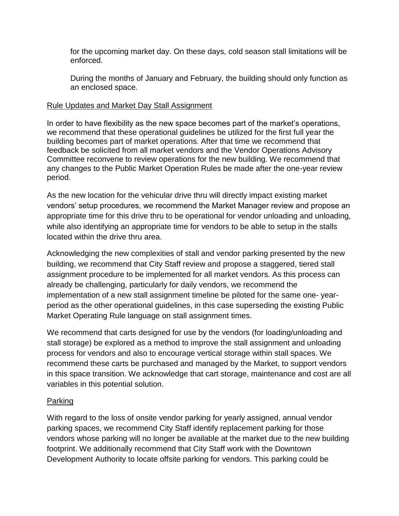for the upcoming market day. On these days, cold season stall limitations will be enforced.

During the months of January and February, the building should only function as an enclosed space.

## Rule Updates and Market Day Stall Assignment

In order to have flexibility as the new space becomes part of the market's operations, we recommend that these operational guidelines be utilized for the first full year the building becomes part of market operations. After that time we recommend that feedback be solicited from all market vendors and the Vendor Operations Advisory Committee reconvene to review operations for the new building. We recommend that any changes to the Public Market Operation Rules be made after the one-year review period.

As the new location for the vehicular drive thru will directly impact existing market vendors' setup procedures, we recommend the Market Manager review and propose an appropriate time for this drive thru to be operational for vendor unloading and unloading, while also identifying an appropriate time for vendors to be able to setup in the stalls located within the drive thru area.

Acknowledging the new complexities of stall and vendor parking presented by the new building, we recommend that City Staff review and propose a staggered, tiered stall assignment procedure to be implemented for all market vendors. As this process can already be challenging, particularly for daily vendors, we recommend the implementation of a new stall assignment timeline be piloted for the same one- yearperiod as the other operational guidelines, in this case superseding the existing Public Market Operating Rule language on stall assignment times.

We recommend that carts designed for use by the vendors (for loading/unloading and stall storage) be explored as a method to improve the stall assignment and unloading process for vendors and also to encourage vertical storage within stall spaces. We recommend these carts be purchased and managed by the Market, to support vendors in this space transition. We acknowledge that cart storage, maintenance and cost are all variables in this potential solution.

# Parking

With regard to the loss of onsite vendor parking for yearly assigned, annual vendor parking spaces, we recommend City Staff identify replacement parking for those vendors whose parking will no longer be available at the market due to the new building footprint. We additionally recommend that City Staff work with the Downtown Development Authority to locate offsite parking for vendors. This parking could be